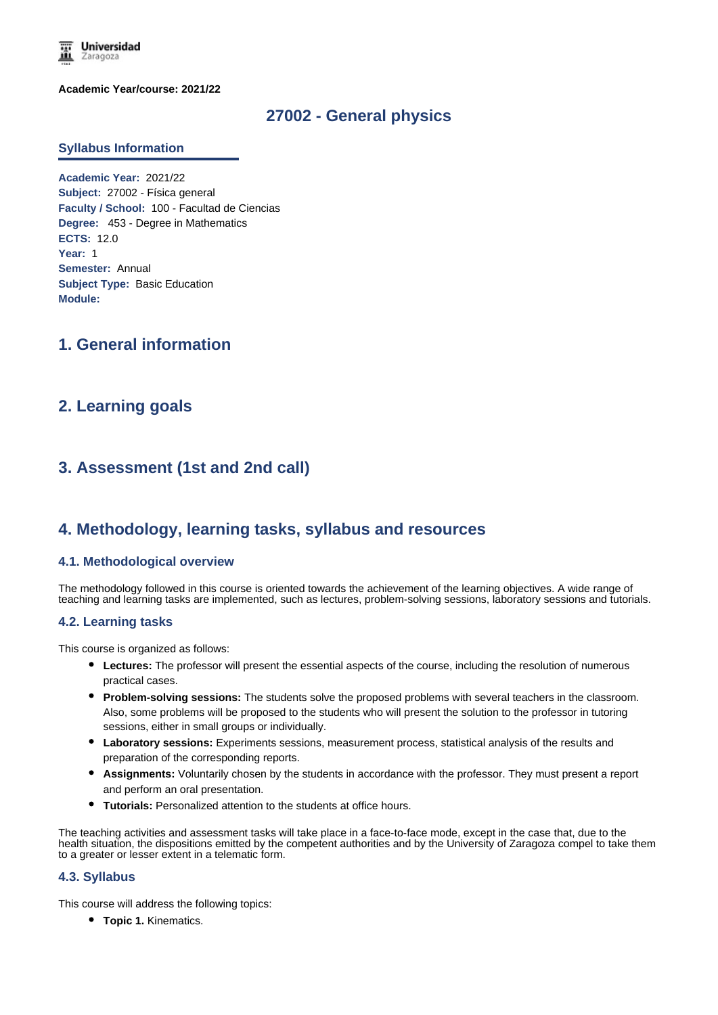

**Academic Year/course: 2021/22**

## **27002 - General physics**

#### **Syllabus Information**

**Academic Year:** 2021/22 **Subject:** 27002 - Física general **Faculty / School:** 100 - Facultad de Ciencias **Degree:** 453 - Degree in Mathematics **ECTS:** 12.0 **Year:** 1 **Semester:** Annual **Subject Type:** Basic Education **Module:**

# **1. General information**

## **2. Learning goals**

# **3. Assessment (1st and 2nd call)**

## **4. Methodology, learning tasks, syllabus and resources**

#### **4.1. Methodological overview**

The methodology followed in this course is oriented towards the achievement of the learning objectives. A wide range of teaching and learning tasks are implemented, such as lectures, problem-solving sessions, laboratory sessions and tutorials.

#### **4.2. Learning tasks**

This course is organized as follows:

- **Lectures:** The professor will present the essential aspects of the course, including the resolution of numerous practical cases.
- **Problem-solving sessions:** The students solve the proposed problems with several teachers in the classroom. Also, some problems will be proposed to the students who will present the solution to the professor in tutoring sessions, either in small groups or individually.
- **Laboratory sessions:** Experiments sessions, measurement process, statistical analysis of the results and preparation of the corresponding reports.
- **Assignments:** Voluntarily chosen by the students in accordance with the professor. They must present a report and perform an oral presentation.
- **Tutorials:** Personalized attention to the students at office hours.

The teaching activities and assessment tasks will take place in a face-to-face mode, except in the case that, due to the health situation, the dispositions emitted by the competent authorities and by the University of Zaragoza compel to take them to a greater or lesser extent in a telematic form.

#### **4.3. Syllabus**

This course will address the following topics:

**Topic 1.** Kinematics.